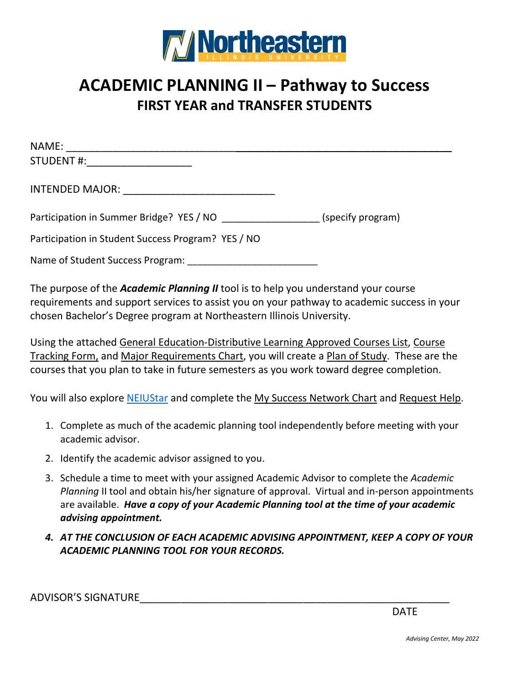

# **ACADEMIC PLANNING II – Pathway to Success FIRST YEAR and TRANSFER STUDENTS**

| STUDENT #: New York Production of the STUDENT #:           |  |
|------------------------------------------------------------|--|
| INTENDED MAJOR: __________________________________         |  |
| Participation in Summer Bridge? YES / NO (specify program) |  |
| Participation in Student Success Program? YES / NO         |  |
| Name of Student Success Program: Name of Student           |  |
|                                                            |  |

The purpose of the *Academic Planning II* tool is to help you understand your course requirements and support services to assist you on your pathway to academic success in your chosen Bachelor's Degree program at Northeastern Illinois University.

Using the attached General Education-Distributive Learning Approved Courses List, Course Tracking Form, and Major Requirements Chart, you will create a Plan of Study. These are the courses that you plan to take in future semesters as you work toward degree completion.

You will also explore [NEIUStar](https://neiu.starfishsolutions.com/starfish-ops/support/login.html) and complete the My Success Network Chart and Request Help.

- 1. Complete as much of the academic planning tool independently before meeting with your academic advisor.
- 2. Identify the academic advisor assigned to you.
- 3. Schedule a time to meet with your assigned Academic Advisor to complete the *Academic Planning* II tool and obtain his/her signature of approval. Virtual and in-person appointments are available. *Have a copy of your Academic Planning tool at the time of your academic advising appointment.*
- *4. AT THE CONCLUSION OF EACH ACADEMIC ADVISING APPOINTMENT, KEEP A COPY OF YOUR ACADEMIC PLANNING TOOL FOR YOUR RECORDS.*

ADVISOR'S SIGNATURE\_\_\_\_\_\_\_\_\_\_\_\_\_\_\_\_\_\_\_\_\_\_\_\_\_\_\_\_\_\_\_\_\_\_\_\_\_\_\_\_\_\_\_\_\_\_\_\_\_\_\_\_\_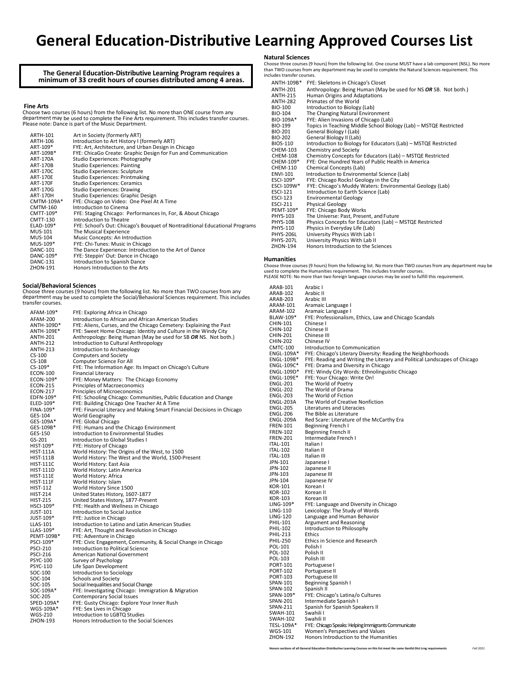### **General Education-Distributive Learning Approved Courses List**

### **The General Education-Distributive Learning Program requires a minimum of 33 credit hours of courses distributed among 4 areas.**

#### **Fine Arts**

Choose two courses (6 hours) from the following list. No more than ONE course from any<br>department may be used to complete the Fine Arts requirement. This includes transfer courses.<br>Please note: Dance is part of the Music D

| <b>ARTH-101</b> | Art in Society (formerly ART)                                               |
|-----------------|-----------------------------------------------------------------------------|
| ARTH-106        | Introduction to Art History I (formerly ART)                                |
| ART-109*        | FYE: Art, Architecture, and Urban Design in Chicago                         |
| ART-109B*       | FYE: ChicaGo Create: Graphic Design for Fun and Communication               |
| ART-170A        | Studio Experiences: Photography                                             |
| ART-170B        | <b>Studio Experiences: Painting</b>                                         |
| ART-170C        | Studio Experiences: Sculpture                                               |
| ART-170E        | Studio Experiences: Printmaking                                             |
| <b>ART-170F</b> | <b>Studio Experiences: Ceramics</b>                                         |
| ART-170G        | <b>Studio Experiences: Drawing</b>                                          |
| <b>ART-170H</b> | Studio Experiences: Graphic Design                                          |
| CMTM-109A*      | FYE: Chicago on Video: One Pixel At A Time                                  |
| <b>CMTM-160</b> | Introduction to Cinema                                                      |
| CMTT-109*       | FYE: Staging Chicago: Performances In, For, & About Chicago                 |
| <b>CMTT-130</b> | Introduction to Theatre                                                     |
| ELAD-109*       | FYE: School's Out: Chicago's Bouquet of Nontraditional Educational Programs |
| <b>MUS-101</b>  | The Musical Experience                                                      |
| <b>MUS-104</b>  | Music Concepts: An Introduction                                             |
| MUS-109*        | FYE: Chi-Tunes: Music in Chicago                                            |
| <b>DANC-101</b> | The Dance Experience: Introduction to the Art of Dance                      |
| DANC-109*       | FYE: Steppin' Out: Dance in Chicago                                         |
| <b>DANC-131</b> | Introduction to Spanish Dance                                               |
| <b>ZHON-191</b> | Honors Introduction to the Arts                                             |
|                 |                                                                             |

**Social/Behavioral Sciences**<br>Choose three courses (9 hours) from the following list. No more than TWO courses from any<br>department may be used to complete the Social/Behavioral Sciences requirement. This includes<br>transfer c

| AFAM-109*        | FYE: Exploring Africa in Chicago                                        |
|------------------|-------------------------------------------------------------------------|
| <b>AFAM-200</b>  | Introduction to African and African American Studies                    |
| ANTH-109D*       | FYE: Aliens, Curses, and the Chicago Cemetery: Explaining the Past      |
| ANTH-109E*       | FYE: Sweet Home Chicago: Identity and Culture in the Windy City         |
| <b>ANTH-201</b>  | Anthropology: Being Human (May be used for SB OR NS. Not both.)         |
| <b>ANTH-212</b>  | Introduction to Cultural Anthropology                                   |
| <b>ANTH-213</b>  | Introduction to Archaeology                                             |
| $CS-100$         | <b>Computers and Society</b>                                            |
| $CS-108$         | Computer Science For All                                                |
| $CS-109*$        | FYE: The Information Age: Its Impact on Chicago's Culture               |
| <b>ECON-100</b>  | <b>Financial Literacy</b>                                               |
| ECON-109*        | FYE: Money Matters: The Chicago Economy                                 |
| <b>ECON-215</b>  | Principles of Macroeconomics                                            |
| ECON-217         | Principles of Microeconomics                                            |
| EDFN-109*        | FYE: Schooling Chicago: Communities, Public Education and Change        |
| ELED-109*        | FYE: Building Chicago One Teacher At A Time                             |
| FINA-109*        | FYE: Financial Literacy and Making Smart Financial Decisions in Chicago |
| GES-104          | <b>World Geography</b>                                                  |
| GES-109A*        | FYE: Global Chicago                                                     |
| GES-109B*        | FYE: Humans and the Chicago Environment                                 |
| GES-150          | Introduction to Environmental Studies                                   |
| GS-201           | Introduction to Global Studies I                                        |
| HIST-109*        | FYE: History of Chicago                                                 |
| <b>HIST-111A</b> | World History: The Origins of the West, to 1500                         |
| <b>HIST-111B</b> | World History: The West and the World, 1500-Present                     |
| <b>HIST-111C</b> | World History: East Asia                                                |
| <b>HIST-111D</b> | World History: Latin America                                            |
| <b>HIST-111E</b> | World History: Africa                                                   |
| <b>HIST-111F</b> | World History: Islam                                                    |
| <b>HIST-112</b>  | World History Since 1500                                                |
| <b>HIST-214</b>  | United States History, 1607-1877                                        |
| <b>HIST-215</b>  | United States History, 1877-Present                                     |
| HSCI-109*        | FYE: Health and Wellness in Chicago                                     |
| JUST-101         | Introduction to Social Justice                                          |
|                  |                                                                         |
| JUST-109*        | FYE: Justice in Chicago                                                 |
| LLAS-101         | Introduction to Latino and Latin American Studies                       |
| LLAS-109*        | FYE: Art, Thought and Revolution in Chicago                             |
| PEMT-109B*       | FYE: Adventure in Chicago                                               |
| PSCI-109*        | FYE: Civic Engagement, Community, & Social Change in Chicago            |
| <b>PSCI-210</b>  | Introduction to Political Science                                       |
| <b>PSCI-216</b>  | American National Government                                            |
| <b>PSYC-100</b>  | Survey of Psychology                                                    |
| <b>PSYC-110</b>  | Life Span Development                                                   |
| SOC-100          | Introduction to Sociology                                               |
| SOC-104          | Schools and Society                                                     |
| SOC-105          | Social Inequalities and Social Change                                   |
| SOC-109A*        | FYE: Investigating Chicago: Immigration & Migration                     |
| SOC-205          | Contemporary Social Issues                                              |
| SPED-109A*       | FYE: Gusty Chicago: Explore Your Inner Rush                             |
| WGS-109A*        | FYE: Sex Lives in Chicago                                               |
| <b>WGS-210</b>   | Introduction to LGBTQ Studies                                           |
| <b>ZHON-193</b>  | Honors Introduction to the Social Sciences                              |
|                  |                                                                         |

#### **Natural Sciences**

Choose three courses (9 hours) from the following list. One course MUST have a lab component (NSL). No more than TWO courses from any department may be used to complete the Natural Sciences requirement. This includes transfer courses.

| ANTH-109B*       | FYE: Skeletons in Chicago's Closet                                |
|------------------|-------------------------------------------------------------------|
| <b>ANTH-201</b>  | Anthropology: Being Human (May be used for NS OR SB. Not both.)   |
| <b>ANTH-215</b>  | Human Origins and Adaptations                                     |
| <b>ANTH-282</b>  | Primates of the World                                             |
| <b>BIO-100</b>   | Introduction to Biology (Lab)                                     |
| BIO-104          | The Changing Natural Environment                                  |
| BIO-109A*        | FYE: Alien Invasions of Chicago (Lab)                             |
| BIO-199          | Topics in Teaching Middle School Biology (Lab) - MSTQE Restricted |
| BIO-201          | General Biology I (Lab)                                           |
| BIO-202          | General Biology II (Lab)                                          |
| BIOS-110         | Introduction to Biology for Educators (Lab) - MSTQE Restricted    |
| CHEM-103         | Chemistry and Society                                             |
| CHEM-108         | Chemistry Concepts for Educators (Lab) - MSTQE Restricted         |
| CHEM-109*        | FYE: One Hundred Years of Public Health in America                |
| CHEM-110         | Chemical Concepts (Lab)                                           |
| <b>ENVI-101</b>  | Introduction to Environmental Science (Lab)                       |
| ESCI-109*        | FYE: Chicago Rocks! Geology in the City                           |
| ESCI-109W*       | FYE: Chicago's Muddy Waters: Environmental Geology (Lab)          |
| ESCI-121         | Introduction to Earth Science (Lab)                               |
| ESCI-123         | <b>Environmental Geology</b>                                      |
| ESCI-211         | <b>Physical Geology</b>                                           |
| PEMT-109*        | FYE: Chicago Body Works                                           |
| PHYS-103         | The Universe: Past, Present, and Future                           |
| <b>PHYS-108</b>  | Physics Concepts for Educators (Lab) - MSTQE Restricted           |
| PHYS-110         | Physics in Everyday Life (Lab)                                    |
| <b>PHYS-206L</b> | University Physics With Lab I                                     |
| <b>PHYS-207L</b> | University Physics With Lab II                                    |
| <b>ZHON-194</b>  | Honors Introduction to the Sciences                               |

#### **Humanities**

Choose three courses (9 hours) from the following list. No more than TWO courses from any department may be used to complete the Humanities requirement. This includes transfer courses. PLEASE NOTE: No more than two foreign language courses may be used to fulfill this requirement.

| ARAB-101        | Arabic I                                                                  |
|-----------------|---------------------------------------------------------------------------|
| ARAB-102        | Arabic II                                                                 |
| <b>ARAB-203</b> | Arabic III                                                                |
| ARAM-101        | Aramaic Language I                                                        |
| ARAM-102        | Aramaic Language I                                                        |
| BLAW-109*       | FYE: Professionalism, Ethics, Law and Chicago Scandals                    |
| CHIN-101        | Chinese I                                                                 |
| CHIN-102        | Chinese II                                                                |
| <b>CHIN-201</b> | Chinese III                                                               |
| <b>CHIN-202</b> | Chinese IV                                                                |
| <b>CMTC-100</b> | Introduction to Communication                                             |
| ENGL-109A*      | FYE: Chicago's Literary Diversity: Reading the Neighborhoods              |
|                 |                                                                           |
| ENGL-109B*      | FYE: Reading and Writing the Literary and Political Landscapes of Chicago |
| ENGL-109C*      | FYE: Drama and Diversity in Chicago                                       |
| ENGL-109D*      | FYE: Windy City Words: Ethnolinguistic Chicago                            |
| ENGL-109E*      | FYE: Your Chicago: Write On!                                              |
| <b>ENGL-201</b> | The World of Poetry                                                       |
| <b>ENGL-202</b> | The World of Drama                                                        |
| <b>ENGL-203</b> | The World of Fiction                                                      |
| ENGL-203A       | The World of Creative Nonfiction                                          |
| <b>ENGL-205</b> | Literatures and Literacies                                                |
| <b>ENGL-206</b> | The Bible as Literature                                                   |
| ENGL-209A       | Red Scare: Literature of the McCarthy Era                                 |
| <b>FREN-101</b> | Beginning French I                                                        |
| <b>FREN-102</b> | <b>Beginning French II</b>                                                |
| <b>FREN-201</b> | Intermediate French I                                                     |
| <b>ITAL-101</b> | Italian I                                                                 |
| <b>ITAL-102</b> | Italian II                                                                |
| <b>ITAL-103</b> | Italian III                                                               |
| JPN-101         | Japanese I                                                                |
| JPN-102         | Japanese II                                                               |
| JPN-103         | Japanese III                                                              |
| JPN-104         | Japanese IV                                                               |
| <b>KOR-101</b>  | Korean I                                                                  |
| KOR-102         | Korean II                                                                 |
| KOR-103         | Korean III                                                                |
| $LING-109*$     | FYE: Language and Diversity in Chicago                                    |
| LING-110        | Lexicology: The Study of Words                                            |
| LING-120        | Language and Human Behavior                                               |
| PHIL-101        | Argument and Reasoning                                                    |
| PHIL-102        | Introduction to Philosophy                                                |
| PHIL-213        | Ethics                                                                    |
| <b>PHIL-250</b> | Ethics in Science and Research                                            |
| POL-101         | Polish I                                                                  |
| POL-102         | Polish II                                                                 |
| POL-103         | Polish III                                                                |
|                 |                                                                           |
| PORT-101        | Portuguese I                                                              |
| <b>PORT-102</b> | Portuguese II                                                             |
| <b>PORT-103</b> | Portuguese III                                                            |
| SPAN-101        | Beginning Spanish I                                                       |
| SPAN-102        | Spanish II                                                                |
| SPAN-109*       | FYE: Chicago's Latina/o Cultures                                          |
| SPAN-201        | Intermediate Spanish I                                                    |
| SPAN-211        | Spanish for Spanish Speakers II                                           |
| <b>SWAH-101</b> | Swahili I                                                                 |
| <b>SWAH-102</b> | Swahili II                                                                |
| TESL-109A*      | FYE: Chicago Speaks: Helping Immigrants Communicate                       |
| <b>WGS-101</b>  | Women's Perspectives and Values                                           |
| ZHON-192        | Honors Introduction to the Humanities                                     |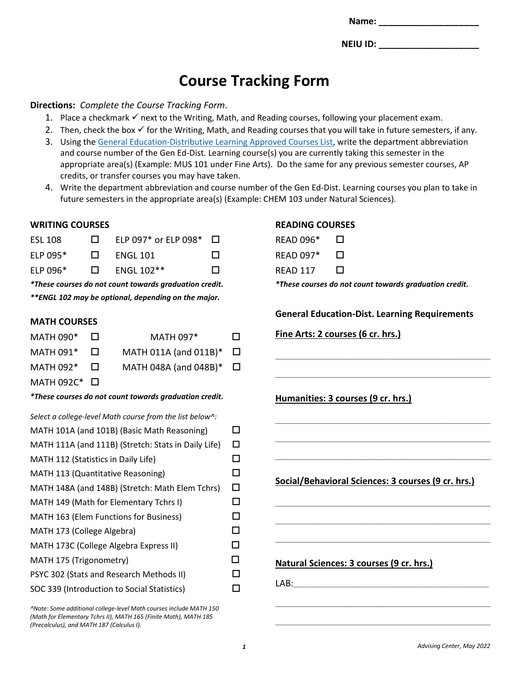**Name:**  $\blacksquare$ 

**NEIU ID: \_\_\_\_\_\_\_\_\_\_\_\_\_\_\_\_\_\_\_\_**

# **Course Tracking Form**

#### **Directions:** *Complete the Course Tracking Form*.

- 1. Place a checkmark  $\checkmark$  next to the Writing, Math, and Reading courses, following your placement exam.
- 2. Then, check the box  $\checkmark$  for the Writing, Math, and Reading courses that you will take in future semesters, if any.
- 3. Using the [General Education-Distributive Learning Approved Courses List,](https://www.neiu.edu/general-education-distributive-learning-requirements) write the department abbreviation and course number of the Gen Ed-Dist. Learning course(s) you are currently taking this semester in the appropriate area(s) (Example: MUS 101 under Fine Arts). Do the same for any previous semester courses, AP credits, or transfer courses you may have taken.
- 4. Write the department abbreviation and course number of the Gen Ed-Dist. Learning courses you plan to take in future semesters in the appropriate area(s) (Example: CHEM 103 under Natural Sciences).

### **WRITING COURSES**

| <b>ESL 108</b> | $\mathbf{L}$ | ELP 097* or ELP 098* $\Box$ |              |
|----------------|--------------|-----------------------------|--------------|
| ELP $095*$     | $\Box$       | ENGL 101                    | $\mathbf{L}$ |
| ELP $0.96*$    | $\Box$       | ENGL 102**                  | П            |

*\*These courses do not count towards graduation credit. \*\*ENGL 102 may be optional, depending on the major.*

### **MATH COURSES**

| MATH 090*         |                | <b>MATH 097*</b>                   | П |
|-------------------|----------------|------------------------------------|---|
| MATH 091*         | $\blacksquare$ | MATH 011A (and 011B)*              | □ |
| MATH 092*         | -11            | MATH 048A (and 048B) $*$ $\square$ |   |
| MATH 092C* $\Box$ |                |                                    |   |

*\*These courses do not count towards graduation credit.*

#### *Select a college-level Math course from the list below^:*

| MATH 101A (and 101B) (Basic Math Reasoning)         |     |
|-----------------------------------------------------|-----|
| MATH 111A (and 111B) (Stretch: Stats in Daily Life) | □   |
| MATH 112 (Statistics in Daily Life)                 |     |
| MATH 113 (Quantitative Reasoning)                   |     |
| MATH 148A (and 148B) (Stretch: Math Elem Tchrs)     | ப   |
| MATH 149 (Math for Elementary Tchrs I)              | ΙI  |
| MATH 163 (Elem Functions for Business)              | ΙI  |
| MATH 173 (College Algebra)                          | ΙI  |
| MATH 173C (College Algebra Express II)              | l I |
| MATH 175 (Trigonometry)                             | ΙI  |
| PSYC 302 (Stats and Research Methods II)            |     |
| SOC 339 (Introduction to Social Statistics)         |     |
|                                                     |     |

*^Note: Some additional college-level Math courses include MATH 150 (Math for Elementary Tchrs II), MATH 165 (Finite Math), MATH 185 (Precalculus), and MATH 187 (Calculus I).*

### **READING COURSES**

| <b>READ 096*</b> | П            |
|------------------|--------------|
| <b>READ 097*</b> | LΙ           |
| READ 117         | $\mathbf{L}$ |

*\*These courses do not count towards graduation credit.*

**General Education-Dist. Learning Requirements**

\_\_\_\_\_\_\_\_\_\_\_\_\_\_\_\_\_\_\_\_\_\_\_\_\_\_\_\_\_\_\_\_\_\_\_\_\_\_\_\_\_\_\_\_\_\_\_\_\_\_\_\_\_\_\_\_\_\_\_\_\_\_\_\_\_\_\_\_\_\_\_\_\_\_\_\_\_\_\_\_\_\_\_\_\_\_

\_\_\_\_\_\_\_\_\_\_\_\_\_\_\_\_\_\_\_\_\_\_\_\_\_\_\_\_\_\_\_\_\_\_\_\_\_\_\_\_\_\_\_\_\_\_\_\_\_\_\_\_\_\_\_\_\_\_\_\_\_\_\_\_\_\_\_\_\_\_\_\_\_\_\_\_\_\_\_\_\_\_\_\_\_\_

\_\_\_\_\_\_\_\_\_\_\_\_\_\_\_\_\_\_\_\_\_\_\_\_\_\_\_\_\_\_\_\_\_\_\_\_\_\_\_\_\_\_\_\_\_\_\_\_\_\_\_\_\_\_\_\_\_\_\_\_\_\_\_\_\_\_\_\_\_\_\_\_\_\_\_\_\_\_\_\_\_\_\_\_\_\_

\_\_\_\_\_\_\_\_\_\_\_\_\_\_\_\_\_\_\_\_\_\_\_\_\_\_\_\_\_\_\_\_\_\_\_\_\_\_\_\_\_\_\_\_\_\_\_\_\_\_\_\_\_\_\_\_\_\_\_\_\_\_\_\_\_\_\_\_\_\_\_\_\_\_\_\_\_\_\_\_\_\_\_\_\_\_

\_\_\_\_\_\_\_\_\_\_\_\_\_\_\_\_\_\_\_\_\_\_\_\_\_\_\_\_\_\_\_\_\_\_\_\_\_\_\_\_\_\_\_\_\_\_\_\_\_\_\_\_\_\_\_\_\_\_\_\_\_\_\_\_\_\_\_\_\_\_\_\_\_\_\_\_\_\_\_\_\_\_\_\_\_\_

\_\_\_\_\_\_\_\_\_\_\_\_\_\_\_\_\_\_\_\_\_\_\_\_\_\_\_\_\_\_\_\_\_\_\_\_\_\_\_\_\_\_\_\_\_\_\_\_\_\_\_\_\_\_\_\_\_\_\_\_\_\_\_\_\_\_\_\_\_\_\_\_\_\_\_\_\_\_\_\_\_\_\_\_\_\_

\_\_\_\_\_\_\_\_\_\_\_\_\_\_\_\_\_\_\_\_\_\_\_\_\_\_\_\_\_\_\_\_\_\_\_\_\_\_\_\_\_\_\_\_\_\_\_\_\_\_\_\_\_\_\_\_\_\_\_\_\_\_\_\_\_\_\_\_\_\_\_\_\_\_\_\_\_\_\_\_\_\_\_\_\_\_

\_\_\_\_\_\_\_\_\_\_\_\_\_\_\_\_\_\_\_\_\_\_\_\_\_\_\_\_\_\_\_\_\_\_\_\_\_\_\_\_\_\_\_\_\_\_\_\_\_\_\_\_\_\_\_\_\_\_\_\_\_\_\_\_\_\_\_\_\_\_\_\_\_\_\_\_\_\_\_\_\_\_\_\_\_\_

\_\_\_\_\_\_\_\_\_\_\_\_\_\_\_\_\_\_\_\_\_\_\_\_\_\_\_\_\_\_\_\_\_\_\_\_\_\_\_\_\_\_\_\_\_\_\_\_\_\_\_\_\_\_\_\_\_\_\_\_\_\_\_\_\_\_\_\_\_\_\_\_\_\_\_\_\_\_\_\_\_\_\_\_\_\_

### **Fine Arts: 2 courses (6 cr. hrs.)**

**Humanities: 3 courses (9 cr. hrs.)**

**Social/Behavioral Sciences: 3 courses (9 cr. hrs.)**

#### **Natural Sciences: 3 courses (9 cr. hrs.)**

 $\mathsf{LAB}:\mathsf{CLA}\to\mathsf{CLA}\to\mathsf{CLA}\to\mathsf{CLA}\to\mathsf{CLA}\to\mathsf{CLA}\to\mathsf{CLA}\to\mathsf{CLA}\to\mathsf{CLA}\to\mathsf{CLA}\to\mathsf{CLA}\to\mathsf{CLA}\to\mathsf{CLA}\to\mathsf{CLA}\to\mathsf{CLA}\to\mathsf{CLA}\to\mathsf{CLA}\to\mathsf{CLA}\to\mathsf{CLA}\to\mathsf{CLA}\to\mathsf{CLA}\to\mathsf{CLA}\to\mathsf{CLA}\to\mathsf{CLA}\to\mathsf{CLA}\to\mathsf{CLA}\to\mathsf{CLA$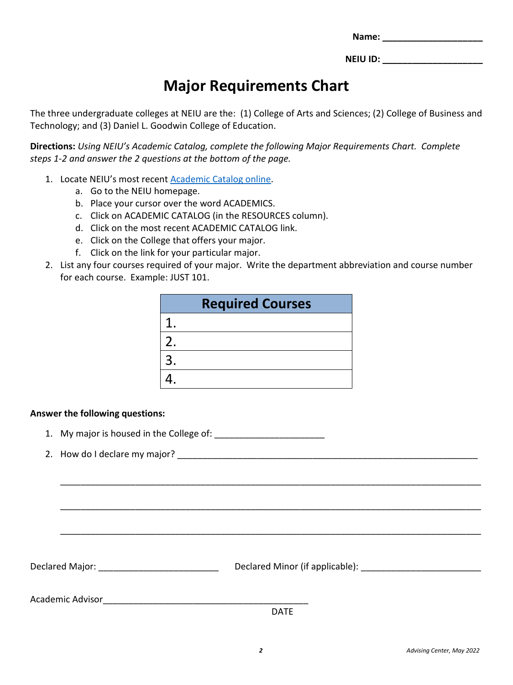| Name: |
|-------|
|-------|

## **Major Requirements Chart**

The three undergraduate colleges at NEIU are the: (1) College of Arts and Sciences; (2) College of Business and Technology; and (3) Daniel L. Goodwin College of Education.

**Directions:** *Using NEIU's Academic Catalog, complete the following Major Requirements Chart. Complete steps 1-2 and answer the 2 questions at the bottom of the page.*

- 1. Locate NEIU's most recent [Academic Catalog online.](https://catalog.neiu.edu/)
	- a. Go to the NEIU homepage.
	- b. Place your cursor over the word ACADEMICS.
	- c. Click on ACADEMIC CATALOG (in the RESOURCES column).
	- d. Click on the most recent ACADEMIC CATALOG link.
	- e. Click on the College that offers your major.
	- f. Click on the link for your particular major.
- 2. List any four courses required of your major. Write the department abbreviation and course number for each course. Example: JUST 101.

|    | <b>Required Courses</b> |
|----|-------------------------|
|    |                         |
| 2. |                         |
| 3. |                         |
|    |                         |

### **Answer the following questions:**

- 1. My major is housed in the College of:
- 2. How do I declare my major?

Declared Major: \_\_\_\_\_\_\_\_\_\_\_\_\_\_\_\_\_\_\_\_\_\_\_\_ Declared Minor (if applicable): \_\_\_\_\_\_\_\_\_\_\_\_\_\_\_\_\_\_\_\_\_\_\_\_

Academic Advisor

DATE

\_\_\_\_\_\_\_\_\_\_\_\_\_\_\_\_\_\_\_\_\_\_\_\_\_\_\_\_\_\_\_\_\_\_\_\_\_\_\_\_\_\_\_\_\_\_\_\_\_\_\_\_\_\_\_\_\_\_\_\_\_\_\_\_\_\_\_\_\_\_\_\_\_\_\_\_\_\_\_\_\_\_\_\_

\_\_\_\_\_\_\_\_\_\_\_\_\_\_\_\_\_\_\_\_\_\_\_\_\_\_\_\_\_\_\_\_\_\_\_\_\_\_\_\_\_\_\_\_\_\_\_\_\_\_\_\_\_\_\_\_\_\_\_\_\_\_\_\_\_\_\_\_\_\_\_\_\_\_\_\_\_\_\_\_\_\_\_\_

\_\_\_\_\_\_\_\_\_\_\_\_\_\_\_\_\_\_\_\_\_\_\_\_\_\_\_\_\_\_\_\_\_\_\_\_\_\_\_\_\_\_\_\_\_\_\_\_\_\_\_\_\_\_\_\_\_\_\_\_\_\_\_\_\_\_\_\_\_\_\_\_\_\_\_\_\_\_\_\_\_\_\_\_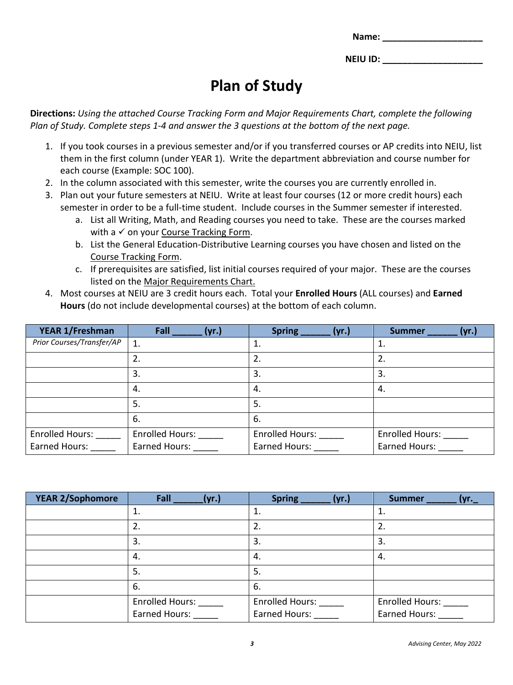| Name: |  |
|-------|--|
|       |  |

# **Plan of Study**

**Directions:** *Using the attached Course Tracking Form and Major Requirements Chart, complete the following Plan of Study. Complete steps 1-4 and answer the 3 questions at the bottom of the next page.* 

- 1. If you took courses in a previous semester and/or if you transferred courses or AP credits into NEIU, list them in the first column (under YEAR 1). Write the department abbreviation and course number for each course (Example: SOC 100).
- 2. In the column associated with this semester, write the courses you are currently enrolled in.
- 3. Plan out your future semesters at NEIU. Write at least four courses (12 or more credit hours) each semester in order to be a full-time student. Include courses in the Summer semester if interested.
	- a. List all Writing, Math, and Reading courses you need to take. These are the courses marked with a  $\checkmark$  on your Course Tracking Form.
	- b. List the General Education-Distributive Learning courses you have chosen and listed on the Course Tracking Form.
	- c. If prerequisites are satisfied, list initial courses required of your major. These are the courses listed on the Major Requirements Chart.
- 4. Most courses at NEIU are 3 credit hours each. Total your **Enrolled Hours** (ALL courses) and **Earned Hours** (do not include developmental courses) at the bottom of each column.

| YEAR 1/Freshman           | Fall<br>(yr.)          | <b>Spring</b><br>(vr.) | (yr.)<br><b>Summer</b> |
|---------------------------|------------------------|------------------------|------------------------|
| Prior Courses/Transfer/AP | 1.                     |                        | 1.                     |
|                           |                        |                        | 2.                     |
|                           | 3.                     | 3.                     | 3.                     |
|                           | 4.                     | 4.                     | 4.                     |
|                           | 5.                     | 5.                     |                        |
|                           | 6.                     | 6.                     |                        |
| <b>Enrolled Hours:</b>    | <b>Enrolled Hours:</b> | <b>Enrolled Hours:</b> | <b>Enrolled Hours:</b> |
| Earned Hours:             | Earned Hours:          | Earned Hours:          | Earned Hours:          |

| YEAR 2/Sophomore | Fall<br>(yr.)                           | <b>Spring</b><br>(yr.)                  | <b>Summer</b><br>(yr._                         |
|------------------|-----------------------------------------|-----------------------------------------|------------------------------------------------|
|                  |                                         | 1.                                      | 1.                                             |
|                  | 2.                                      | 2.                                      | 2.                                             |
|                  | 3.                                      | 3.                                      | 3.                                             |
|                  | 4.                                      | 4.                                      | 4.                                             |
|                  | 5.                                      | 5.                                      |                                                |
|                  | 6.                                      | 6.                                      |                                                |
|                  | <b>Enrolled Hours:</b><br>Earned Hours: | <b>Enrolled Hours:</b><br>Earned Hours: | <b>Enrolled Hours:</b><br><b>Earned Hours:</b> |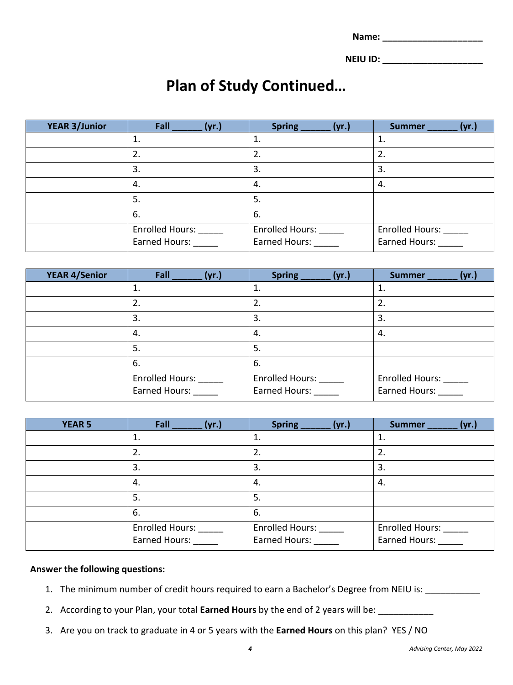### **Plan of Study Continued…**

| <b>YEAR 3/Junior</b> | Fall<br>(yr.)                                  | <b>Spring</b><br>(yr.)                  | (yr.)<br><b>Summer</b>                         |
|----------------------|------------------------------------------------|-----------------------------------------|------------------------------------------------|
|                      | ı.                                             |                                         | 1.                                             |
|                      | 2.                                             | 2.                                      | 2.                                             |
|                      | 3.                                             | 3.                                      | 3.                                             |
|                      | 4.                                             | -4.                                     | 4.                                             |
|                      | 5.                                             | .5                                      |                                                |
|                      | 6.                                             | 6.                                      |                                                |
|                      | <b>Enrolled Hours:</b><br><b>Earned Hours:</b> | <b>Enrolled Hours:</b><br>Earned Hours: | <b>Enrolled Hours:</b><br><b>Earned Hours:</b> |

| <b>YEAR 4/Senior</b> | Fall<br>(yr.)                           | <b>Spring</b><br>(vr.)                  | <b>Summer</b><br>(vr.)                         |
|----------------------|-----------------------------------------|-----------------------------------------|------------------------------------------------|
|                      | 1.                                      | 1.                                      | 1.                                             |
|                      | 2.                                      | 2.                                      | 2.                                             |
|                      | 3.                                      | 3.                                      | 3.                                             |
|                      | 4.                                      | -4.                                     | 4.                                             |
|                      | 5.                                      | 5.                                      |                                                |
|                      | 6.                                      | 6.                                      |                                                |
|                      | Enrolled Hours:<br><b>Earned Hours:</b> | <b>Enrolled Hours:</b><br>Earned Hours: | <b>Enrolled Hours:</b><br><b>Earned Hours:</b> |

| <b>YEAR 5</b> | Fall<br>(yr.)                           | <b>Spring</b><br>(vr.)                  | (vr.)<br><b>Summer</b>                  |
|---------------|-----------------------------------------|-----------------------------------------|-----------------------------------------|
|               | 1.                                      | 1.                                      | 1.                                      |
|               | 2.                                      | 2.                                      | 2.                                      |
|               | 3.                                      | 3.                                      | 3.                                      |
|               | 4.                                      | 4.                                      | 4.                                      |
|               | 5.                                      | 5.                                      |                                         |
|               | 6.                                      | 6.                                      |                                         |
|               | <b>Enrolled Hours:</b><br>Earned Hours: | <b>Enrolled Hours:</b><br>Earned Hours: | <b>Enrolled Hours:</b><br>Earned Hours: |

#### **Answer the following questions:**

- 1. The minimum number of credit hours required to earn a Bachelor's Degree from NEIU is: \_\_\_\_\_\_\_\_\_\_
- 2. According to your Plan, your total **Earned Hours** by the end of 2 years will be: \_\_\_\_\_\_\_\_\_\_\_
- 3. Are you on track to graduate in 4 or 5 years with the **Earned Hours** on this plan? YES / NO